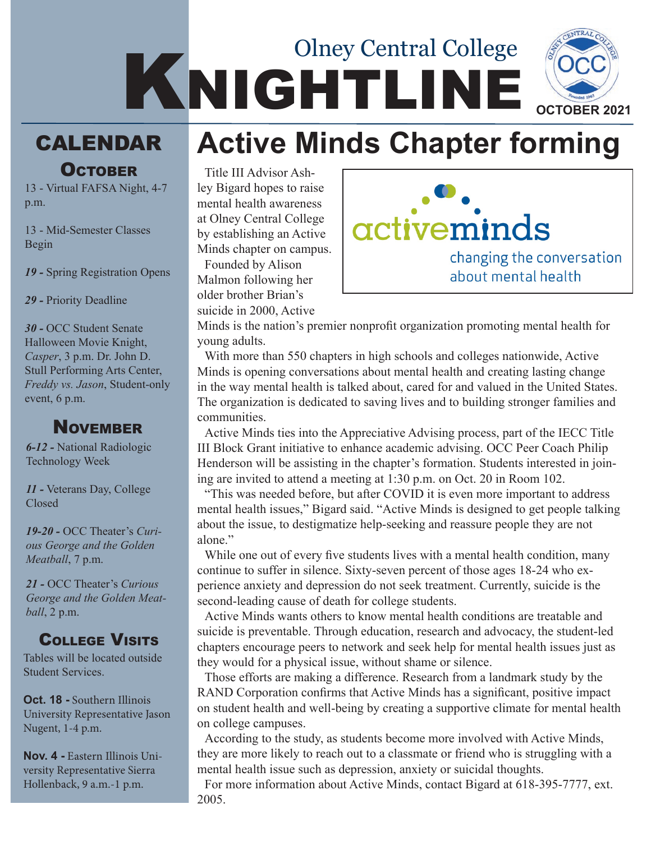## KNIGHTLINE Olney Central College **OCTOBER 2021**

## calendar **Active Minds Chapter forming**

# **OCTOBER**

13 - Virtual FAFSA Night, 4-7 p.m.

13 - Mid-Semester Classes Begin

*19 -* Spring Registration Opens

*29 -* Priority Deadline

*30 -* OCC Student Senate Halloween Movie Knight, *Casper*, 3 p.m. Dr. John D. Stull Performing Arts Center, *Freddy vs. Jason*, Student-only event, 6 p.m.

#### **NOVEMBER**

*6-12 -* National Radiologic Technology Week

*11 -* Veterans Day, College Closed

*19-20 -* OCC Theater's *Curious George and the Golden Meatball*, 7 p.m.

*21 -* OCC Theater's *Curious George and the Golden Meatball*, 2 p.m.

#### College Visits

Tables will be located outside Student Services.

**Oct. 18 -** Southern Illinois University Representative Jason Nugent, 1-4 p.m.

**Nov. 4 -** Eastern Illinois University Representative Sierra Hollenback, 9 a.m.-1 p.m.

Title III Advisor Ashley Bigard hopes to raise mental health awareness at Olney Central College by establishing an Active Minds chapter on campus. Founded by Alison

Malmon following her older brother Brian's suicide in 2000, Active



Minds is the nation's premier nonprofit organization promoting mental health for young adults.

With more than 550 chapters in high schools and colleges nationwide, Active Minds is opening conversations about mental health and creating lasting change in the way mental health is talked about, cared for and valued in the United States. The organization is dedicated to saving lives and to building stronger families and communities.

Active Minds ties into the Appreciative Advising process, part of the IECC Title III Block Grant initiative to enhance academic advising. OCC Peer Coach Philip Henderson will be assisting in the chapter's formation. Students interested in joining are invited to attend a meeting at 1:30 p.m. on Oct. 20 in Room 102.

"This was needed before, but after COVID it is even more important to address mental health issues," Bigard said. "Active Minds is designed to get people talking about the issue, to destigmatize help-seeking and reassure people they are not alone."

While one out of every five students lives with a mental health condition, many continue to suffer in silence. Sixty-seven percent of those ages 18-24 who experience anxiety and depression do not seek treatment. Currently, suicide is the second-leading cause of death for college students.

Active Minds wants others to know mental health conditions are treatable and suicide is preventable. Through education, research and advocacy, the student-led chapters encourage peers to network and seek help for mental health issues just as they would for a physical issue, without shame or silence.

Those efforts are making a difference. Research from a landmark study by the RAND Corporation confirms that Active Minds has a significant, positive impact on student health and well-being by creating a supportive climate for mental health on college campuses.

According to the study, as students become more involved with Active Minds, they are more likely to reach out to a classmate or friend who is struggling with a mental health issue such as depression, anxiety or suicidal thoughts.

For more information about Active Minds, contact Bigard at 618-395-7777, ext. 2005.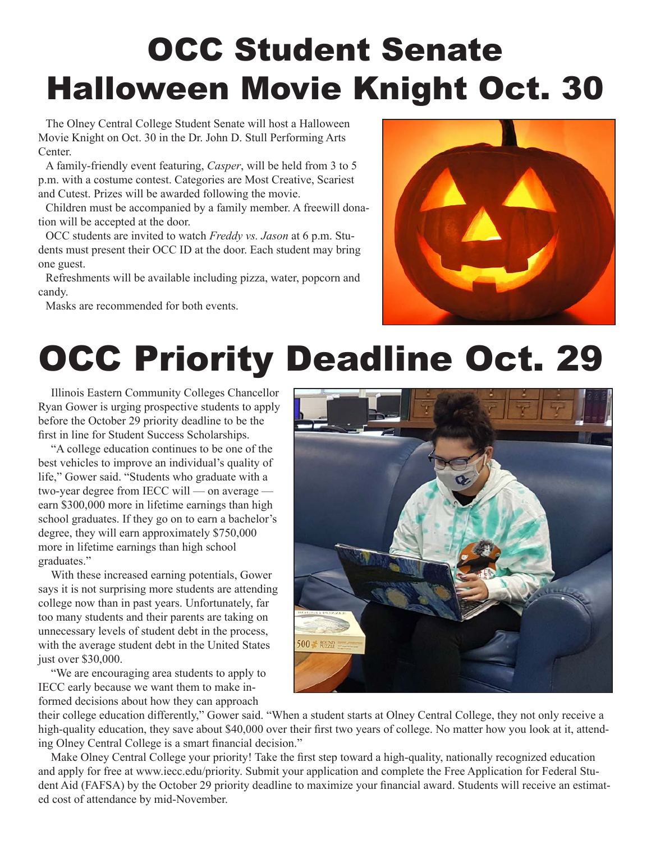# OCC Student Senate Halloween Movie Knight Oct. 30

The Olney Central College Student Senate will host a Halloween Movie Knight on Oct. 30 in the Dr. John D. Stull Performing Arts Center.

A family-friendly event featuring, *Casper*, will be held from 3 to 5 p.m. with a costume contest. Categories are Most Creative, Scariest and Cutest. Prizes will be awarded following the movie.

Children must be accompanied by a family member. A freewill donation will be accepted at the door.

OCC students are invited to watch *Freddy vs. Jason* at 6 p.m. Students must present their OCC ID at the door. Each student may bring one guest.

Refreshments will be available including pizza, water, popcorn and candy.

Masks are recommended for both events.



# OCC Priority Deadline Oct. 29

Illinois Eastern Community Colleges Chancellor Ryan Gower is urging prospective students to apply before the October 29 priority deadline to be the first in line for Student Success Scholarships.

"A college education continues to be one of the best vehicles to improve an individual's quality of life," Gower said. "Students who graduate with a two-year degree from IECC will — on average earn \$300,000 more in lifetime earnings than high school graduates. If they go on to earn a bachelor's degree, they will earn approximately \$750,000 more in lifetime earnings than high school graduates."

With these increased earning potentials, Gower says it is not surprising more students are attending college now than in past years. Unfortunately, far too many students and their parents are taking on unnecessary levels of student debt in the process, with the average student debt in the United States just over \$30,000.

"We are encouraging area students to apply to IECC early because we want them to make informed decisions about how they can approach



their college education differently," Gower said. "When a student starts at Olney Central College, they not only receive a high-quality education, they save about \$40,000 over their first two years of college. No matter how you look at it, attending Olney Central College is a smart financial decision."

Make Olney Central College your priority! Take the first step toward a high-quality, nationally recognized education and apply for free at www.iecc.edu/priority. Submit your application and complete the Free Application for Federal Student Aid (FAFSA) by the October 29 priority deadline to maximize your financial award. Students will receive an estimated cost of attendance by mid-November.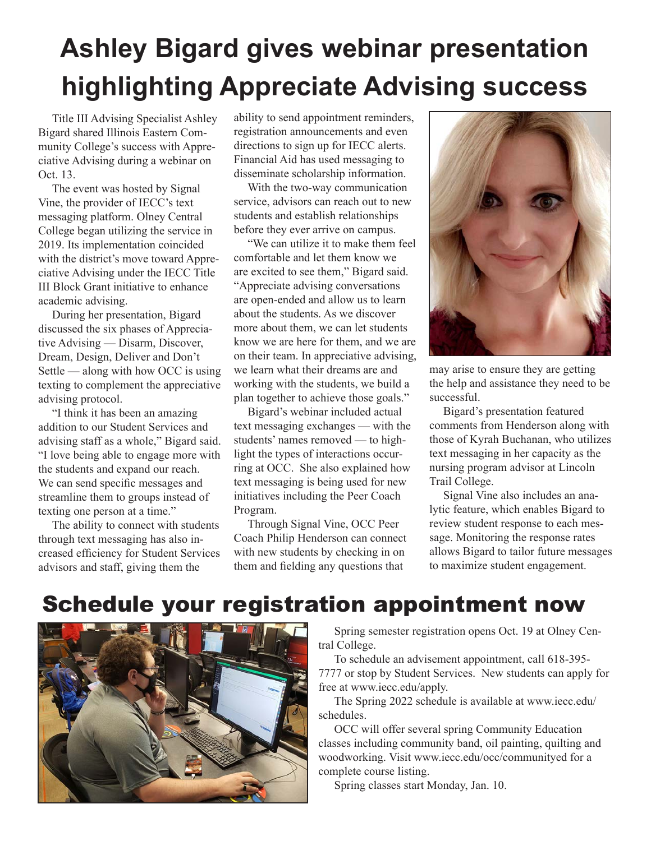## **Ashley Bigard gives webinar presentation highlighting Appreciate Advising success**

Title III Advising Specialist Ashley Bigard shared Illinois Eastern Community College's success with Appreciative Advising during a webinar on Oct. 13.

The event was hosted by Signal Vine, the provider of IECC's text messaging platform. Olney Central College began utilizing the service in 2019. Its implementation coincided with the district's move toward Appreciative Advising under the IECC Title III Block Grant initiative to enhance academic advising.

During her presentation, Bigard discussed the six phases of Appreciative Advising — Disarm, Discover, Dream, Design, Deliver and Don't Settle — along with how OCC is using texting to complement the appreciative advising protocol.

"I think it has been an amazing addition to our Student Services and advising staff as a whole," Bigard said. "I love being able to engage more with the students and expand our reach. We can send specific messages and streamline them to groups instead of texting one person at a time."

The ability to connect with students through text messaging has also increased efficiency for Student Services advisors and staff, giving them the

ability to send appointment reminders, registration announcements and even directions to sign up for IECC alerts. Financial Aid has used messaging to disseminate scholarship information.

With the two-way communication service, advisors can reach out to new students and establish relationships before they ever arrive on campus.

"We can utilize it to make them feel comfortable and let them know we are excited to see them," Bigard said. "Appreciate advising conversations are open-ended and allow us to learn about the students. As we discover more about them, we can let students know we are here for them, and we are on their team. In appreciative advising, we learn what their dreams are and working with the students, we build a plan together to achieve those goals."

Bigard's webinar included actual text messaging exchanges — with the students' names removed — to highlight the types of interactions occurring at OCC. She also explained how text messaging is being used for new initiatives including the Peer Coach Program.

Through Signal Vine, OCC Peer Coach Philip Henderson can connect with new students by checking in on them and fielding any questions that



may arise to ensure they are getting the help and assistance they need to be successful.

Bigard's presentation featured comments from Henderson along with those of Kyrah Buchanan, who utilizes text messaging in her capacity as the nursing program advisor at Lincoln Trail College.

Signal Vine also includes an analytic feature, which enables Bigard to review student response to each message. Monitoring the response rates allows Bigard to tailor future messages to maximize student engagement.

### Schedule your registration appointment now



Spring semester registration opens Oct. 19 at Olney Central College.

To schedule an advisement appointment, call 618-395- 7777 or stop by Student Services. New students can apply for free at www.iecc.edu/apply.

The Spring 2022 schedule is available at www.iecc.edu/ schedules.

OCC will offer several spring Community Education classes including community band, oil painting, quilting and woodworking. Visit www.iecc.edu/occ/communityed for a complete course listing.

Spring classes start Monday, Jan. 10.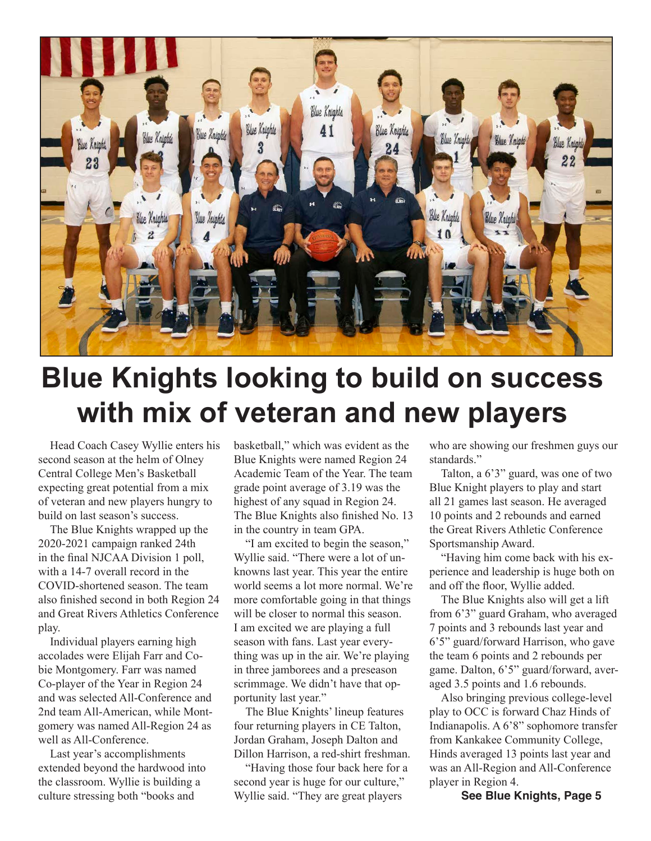

## **Blue Knights looking to build on success with mix of veteran and new players**

Head Coach Casey Wyllie enters his second season at the helm of Olney Central College Men's Basketball expecting great potential from a mix of veteran and new players hungry to build on last season's success.

The Blue Knights wrapped up the 2020-2021 campaign ranked 24th in the final NJCAA Division 1 poll, with a 14-7 overall record in the COVID-shortened season. The team also finished second in both Region 24 and Great Rivers Athletics Conference play.

Individual players earning high accolades were Elijah Farr and Cobie Montgomery. Farr was named Co-player of the Year in Region 24 and was selected All-Conference and 2nd team All-American, while Montgomery was named All-Region 24 as well as All-Conference.

Last year's accomplishments extended beyond the hardwood into the classroom. Wyllie is building a culture stressing both "books and

basketball," which was evident as the Blue Knights were named Region 24 Academic Team of the Year. The team grade point average of 3.19 was the highest of any squad in Region 24. The Blue Knights also finished No. 13 in the country in team GPA.

"I am excited to begin the season," Wyllie said. "There were a lot of unknowns last year. This year the entire world seems a lot more normal. We're more comfortable going in that things will be closer to normal this season. I am excited we are playing a full season with fans. Last year everything was up in the air. We're playing in three jamborees and a preseason scrimmage. We didn't have that opportunity last year."

The Blue Knights' lineup features four returning players in CE Talton, Jordan Graham, Joseph Dalton and Dillon Harrison, a red-shirt freshman.

"Having those four back here for a second year is huge for our culture," Wyllie said. "They are great players

who are showing our freshmen guys our standards."

Talton, a 6'3" guard, was one of two Blue Knight players to play and start all 21 games last season. He averaged 10 points and 2 rebounds and earned the Great Rivers Athletic Conference Sportsmanship Award.

"Having him come back with his experience and leadership is huge both on and off the floor, Wyllie added.

The Blue Knights also will get a lift from 6'3" guard Graham, who averaged 7 points and 3 rebounds last year and 6'5" guard/forward Harrison, who gave the team 6 points and 2 rebounds per game. Dalton, 6'5" guard/forward, averaged 3.5 points and 1.6 rebounds.

Also bringing previous college-level play to OCC is forward Chaz Hinds of Indianapolis. A 6'8" sophomore transfer from Kankakee Community College, Hinds averaged 13 points last year and was an All-Region and All-Conference player in Region 4.

**See Blue Knights, Page 5**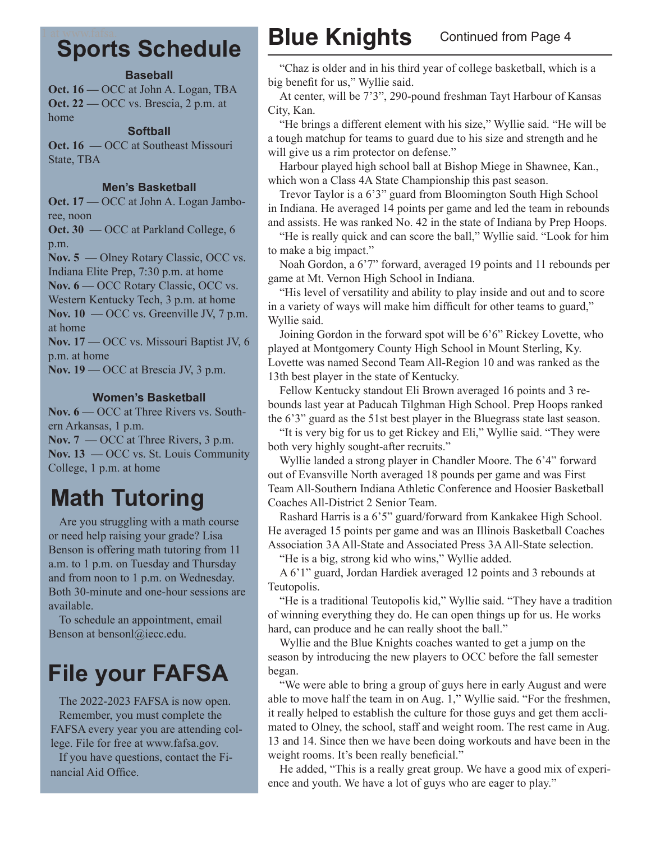#### 1 at www.fafsa. **Sports Schedule**

#### **Baseball**

**Oct. 16 —** OCC at John A. Logan, TBA **Oct. 22** — OCC vs. Brescia, 2 p.m. at home

#### **Softball**

**Oct. 16 — OCC at Southeast Missouri** State, TBA

#### **Men's Basketball**

**Oct. 17 —** OCC at John A. Logan Jamboree, noon

**Oct. 30 —** OCC at Parkland College, 6 p.m.

**Nov. 5 —** Olney Rotary Classic, OCC vs.

Indiana Elite Prep, 7:30 p.m. at home

**Nov. 6 —** OCC Rotary Classic, OCC vs.

Western Kentucky Tech, 3 p.m. at home **Nov. 10 —** OCC vs. Greenville JV, 7 p.m. at home

**Nov. 17 —** OCC vs. Missouri Baptist JV, 6 p.m. at home

**Nov. 19 —** OCC at Brescia JV, 3 p.m.

#### **Women's Basketball**

**Nov. 6 —** OCC at Three Rivers vs. Southern Arkansas, 1 p.m. **Nov. 7 —** OCC at Three Rivers, 3 p.m.

**Nov. 13 —** OCC vs. St. Louis Community College, 1 p.m. at home

### **Math Tutoring**

Are you struggling with a math course or need help raising your grade? Lisa Benson is offering math tutoring from 11 a.m. to 1 p.m. on Tuesday and Thursday and from noon to 1 p.m. on Wednesday. Both 30-minute and one-hour sessions are available.

To schedule an appointment, email Benson at bensonl@iecc.edu.

## **File your FAFSA**

The 2022-2023 FAFSA is now open. Remember, you must complete the FAFSA every year you are attending college. File for free at www.fafsa.gov.

If you have questions, contact the Financial Aid Office.

### **Blue Knights** Continued from Page 4

"Chaz is older and in his third year of college basketball, which is a big benefit for us," Wyllie said.

At center, will be 7'3", 290-pound freshman Tayt Harbour of Kansas City, Kan.

"He brings a different element with his size," Wyllie said. "He will be a tough matchup for teams to guard due to his size and strength and he will give us a rim protector on defense."

Harbour played high school ball at Bishop Miege in Shawnee, Kan., which won a Class 4A State Championship this past season.

Trevor Taylor is a 6'3" guard from Bloomington South High School in Indiana. He averaged 14 points per game and led the team in rebounds and assists. He was ranked No. 42 in the state of Indiana by Prep Hoops.

"He is really quick and can score the ball," Wyllie said. "Look for him to make a big impact."

Noah Gordon, a 6'7" forward, averaged 19 points and 11 rebounds per game at Mt. Vernon High School in Indiana.

"His level of versatility and ability to play inside and out and to score in a variety of ways will make him difficult for other teams to guard," Wyllie said.

Joining Gordon in the forward spot will be 6'6" Rickey Lovette, who played at Montgomery County High School in Mount Sterling, Ky. Lovette was named Second Team All-Region 10 and was ranked as the 13th best player in the state of Kentucky.

Fellow Kentucky standout Eli Brown averaged 16 points and 3 rebounds last year at Paducah Tilghman High School. Prep Hoops ranked the 6'3" guard as the 51st best player in the Bluegrass state last season.

"It is very big for us to get Rickey and Eli," Wyllie said. "They were both very highly sought-after recruits."

Wyllie landed a strong player in Chandler Moore. The 6'4" forward out of Evansville North averaged 18 pounds per game and was First Team All-Southern Indiana Athletic Conference and Hoosier Basketball Coaches All-District 2 Senior Team.

Rashard Harris is a 6'5" guard/forward from Kankakee High School. He averaged 15 points per game and was an Illinois Basketball Coaches Association 3A All-State and Associated Press 3A All-State selection.

"He is a big, strong kid who wins," Wyllie added.

A 6'1" guard, Jordan Hardiek averaged 12 points and 3 rebounds at Teutopolis.

"He is a traditional Teutopolis kid," Wyllie said. "They have a tradition of winning everything they do. He can open things up for us. He works hard, can produce and he can really shoot the ball."

Wyllie and the Blue Knights coaches wanted to get a jump on the season by introducing the new players to OCC before the fall semester began.

"We were able to bring a group of guys here in early August and were able to move half the team in on Aug. 1," Wyllie said. "For the freshmen, it really helped to establish the culture for those guys and get them acclimated to Olney, the school, staff and weight room. The rest came in Aug. 13 and 14. Since then we have been doing workouts and have been in the weight rooms. It's been really beneficial."

He added, "This is a really great group. We have a good mix of experience and youth. We have a lot of guys who are eager to play."